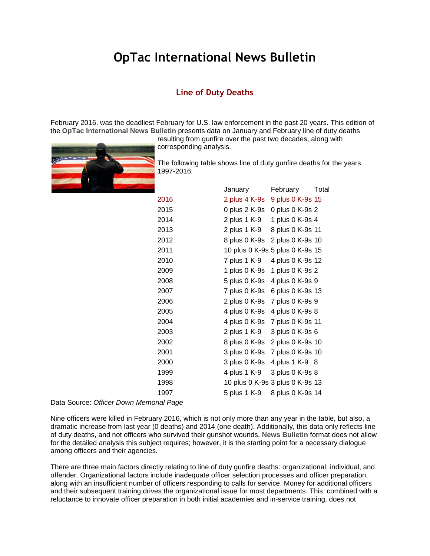## **OpTac International News Bulletin**

## **Line of Duty Deaths**

February 2016, was the deadliest February for U.S. law enforcement in the past 20 years. This edition of the **OpTac International News Bulletin** presents data on January and February line of duty deaths

resulting from gunfire over the past two decades, along with corresponding analysis.



The following table shows line of duty gunfire deaths for the years 1997-2016:

|      | January                         | February         | Total |
|------|---------------------------------|------------------|-------|
| 2016 | 2 plus 4 K-9s                   | 9 plus 0 K-9s 15 |       |
| 2015 | 0 plus 2 K-9s                   | 0 plus 0 K-9s 2  |       |
| 2014 | 2 plus 1 K-9                    | 1 plus 0 K-9s 4  |       |
| 2013 | 2 plus 1 K-9                    | 8 plus 0 K-9s 11 |       |
| 2012 | 8 plus 0 K-9s                   | 2 plus 0 K-9s 10 |       |
| 2011 | 10 plus 0 K-9s 5 plus 0 K-9s 15 |                  |       |
| 2010 | 7 plus 1 K-9                    | 4 plus 0 K-9s 12 |       |
| 2009 | 1 plus 0 K-9s                   | 1 plus 0 K-9s 2  |       |
| 2008 | 5 plus 0 K-9s                   | 4 plus 0 K-9s 9  |       |
| 2007 | 7 plus 0 K-9s                   | 6 plus 0 K-9s 13 |       |
| 2006 | 2 plus 0 K-9s 7 plus 0 K-9s 9   |                  |       |
| 2005 | 4 plus 0 K-9s 4 plus 0 K-9s 8   |                  |       |
| 2004 | 4 plus 0 K-9s                   | 7 plus 0 K-9s 11 |       |
| 2003 | 2 plus 1 K-9                    | 3 plus 0 K-9s 6  |       |
| 2002 | 8 plus 0 K-9s                   | 2 plus 0 K-9s 10 |       |
| 2001 | 3 plus 0 K-9s 7 plus 0 K-9s 10  |                  |       |
| 2000 | 3 plus 0 K-9s                   | 4 plus 1 K-9 8   |       |
| 1999 | 4 plus 1 K-9                    | 3 plus 0 K-9s 8  |       |
| 1998 | 10 plus 0 K-9s 3 plus 0 K-9s 13 |                  |       |
| 1997 | 5 plus 1 K-9                    | 8 plus 0 K-9s 14 |       |

Data Source: *Officer Down Memorial Page*

Nine officers were killed in February 2016, which is not only more than any year in the table, but also, a dramatic increase from last year (0 deaths) and 2014 (one death). Additionally, this data only reflects line of duty deaths, and not officers who survived their gunshot wounds. **News Bulletin** format does not allow for the detailed analysis this subject requires; however, it is the starting point for a necessary dialogue among officers and their agencies.

There are three main factors directly relating to line of duty gunfire deaths: organizational, individual, and offender. Organizational factors include inadequate officer selection processes and officer preparation, along with an insufficient number of officers responding to calls for service. Money for additional officers and their subsequent training drives the organizational issue for most departments. This, combined with a reluctance to innovate officer preparation in both initial academies and in-service training, does not